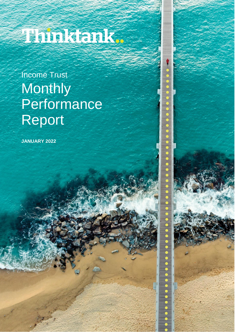# 1 minitanit.

## Income Trust **Monthly Performance** Report

**.**<br>•<br>•

.....

**JANUARY 2022**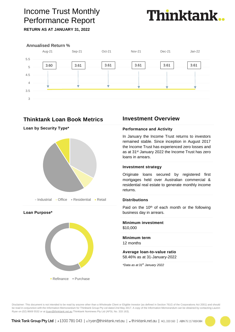## Income Trust Monthly Performance Report



**RETURN AS AT JANUARY 31, 2022**



## **Thinktank Loan Book Metrics**

**Loan by Security Type\***







## **Investment Overview**

#### **Performance and Activity**

In January the Income Trust returns to investors remained stable. Since inception in August 2017 the Income Trust has experienced zero losses and as at 31st January 2022 the Income Trust has zero loans in arrears.

#### **Investment strategy**

Originate loans secured by registered first mortgages held over Australian commercial & residential real estate to generate monthly income returns.

#### **Distributions**

Paid on the 10<sup>th</sup> of each month or the following business day in arrears.

#### **Minimum investment** \$10,000

**Minimum term** 12 months

#### **Average loan-to-value ratio** 58.46% as at 31-January-2022

*\*Data as at 31th January 2022*

Disclaimer: This document is not intended to be read by anyone other than a Wholesale Client or Eligible Investor (as defined in Section 761G of the Corporations Act 2001) and should be read in conjunction with the Information Memorandum for Thinktank Group Pty Ltd dated 2nd May 2017. A copy of the Information Memorandum can be obtained by contacting Lauren Ryan on (02) 8669 5532 or at *[lryan@thinktank.net.au](mailto:lryan@thinktank.net.au)* Thinktank Nominees Pty Ltd (AFSL No. 333 163).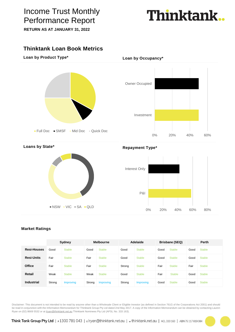## Income Trust Monthly Performance Report

**RETURN AS AT JANUARY 31, 2022**

## **Thinktank**

## **Thinktank Loan Book Metrics**

**Loan by Product Type\***





**Loans by State\***



**Repayment Type\***

**Loan by Occupancy\***



### **Market Ratings**

|                    | Sydney |               | <b>Melbourne</b> |               | Adelaide |               | Brisbane (SEQ) |               | <b>Perth</b> |               |
|--------------------|--------|---------------|------------------|---------------|----------|---------------|----------------|---------------|--------------|---------------|
| <b>Resi-Houses</b> | Good   | <b>Stable</b> | Good             | <b>Stable</b> | Good     | <b>Stable</b> | Good           | <b>Stable</b> | Good         | <b>Stable</b> |
| <b>Resi-Units</b>  | Fair   | <b>Stable</b> | Fair             | <b>Stable</b> | Good     | <b>Stable</b> | Good           | <b>Stable</b> | Good         | <b>Stable</b> |
| <b>Office</b>      | Fair   | <b>Stable</b> | Fair             | <b>Stable</b> | Strong   | <b>Stable</b> | Fair           | <b>Stable</b> | Fair         | <b>Stable</b> |
| Retail             | Weak   | <b>Stable</b> | Weak             | <b>Stable</b> | Good     | <b>Stable</b> | Fair           | <b>Stable</b> | Good         | <b>Stable</b> |
| <b>Industrial</b>  | Strong | Improving     | Strong           | Improving     | Strong   | Improving     | Good           | <b>Stable</b> | Good         | <b>Stable</b> |

Disclaimer: This document is not intended to be read by anyone other than a Wholesale Client or Eligible Investor (as defined in Section 761G of the Corporations Act 2001) and should be read in conjunction with the Information Memorandum for Thinktank Group Pty Ltd dated 2nd May 2017. A copy of the Information Memorandum can be obtained by contacting Lauren Ryan on (02) 8669 5532 or at *[lryan@thinktank.net.au](mailto:lryan@thinktank.net.au)* Thinktank Nominees Pty Ltd (AFSL No. 333 163).